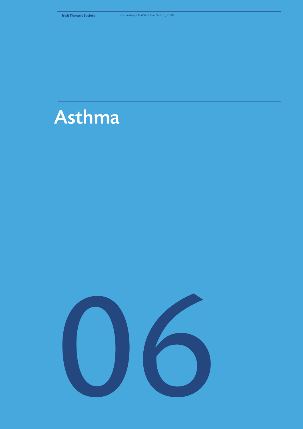

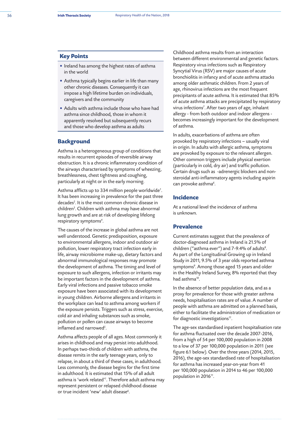#### **Key Points**

- Ireland has among the highest rates of asthma in the world
- Asthma typically begins earlier in life than many other chronic diseases. Consequently it can impose a high lifetime burden on individuals, caregivers and the community
- Adults with asthma include those who have had asthma since childhood, those in whom it apparently resolved but subsequently recurs and those who develop asthma as adults

## **Background**

Asthma is a heterogeneous group of conditions that results in recurrent episodes of reversible airway obstruction. It is a chronic inflammatory condition of the airways characterised by symptoms of wheezing, breathlessness, chest tightness and coughing, particularly at night or in the early morning.

Asthma afflicts up to 334 million people worldwide *1* . It has been increasing in prevalence for the past three decades *2* . It is the most common chronic disease in children<sup>3</sup>. Children with asthma may have abnormal lung growth and are at risk of developing lifelong respiratory symptoms *4* .

The causes of the increase in global asthma are not well understood. Genetic predisposition, exposure to environmental allergens, indoor and outdoor air pollution, lower respiratory tract infection early in life, airway microbiome make-up, dietary factors and abnormal immunological responses may promote the development of asthma. The timing and level of exposure to such allergens, infection or irritants may be important factors in the development of asthma. Early viral infections and passive tobacco smoke exposure have been associated with its development in young children. Airborne allergens and irritants in the workplace can lead to asthma among workers if the exposure persists. Triggers such as stress, exercise, cold air and inhaling substances such as smoke, pollution or pollen can cause airways to become inflamed and narrowed*<sup>5</sup>* .

Asthma affects people of all ages. Most commonly it arises in childhood and may persist into adulthood. In perhaps two-thirds of children with asthma, the disease remits in the early teenage years, only to relapse, in about a third of these cases, in adulthood. Less commonly, the disease begins for the first time in adulthood. It is estimated that 15% of all adult asthma is 'work related' *1* . Therefore adult asthma may represent persistent or relapsed childhood disease or true incident 'new' adult disease *6* .

Childhood asthma results from an interaction between different environmental and genetic factors. Respiratory virus infections such as Respiratory Syncytial Virus (RSV) are major causes of acute bronchiolitis in infancy and of acute asthma attacks among older asthmatic children. From 2 years of age, rhinovirus infections are the most frequent precipitants of acute asthma. It is estimated that 85% of acute asthma attacks are precipitated by respiratory virus infections *7* . After two years of age, inhalant allergy - from both outdoor and indoor allergens becomes increasingly important for the development of asthma.

In adults, exacerbations of asthma are often provoked by respiratory infections – usually viral in origin. In adults with allergic asthma, symptoms are provoked by exposure to the relevant allergen. Other common triggers include physical exertion (particularly in cold, dry air) and traffic pollution. Certain drugs such as -adrenergic blockers and nonsteroidal anti-inflammatory agents including aspirin can provoke asthma *6* .

# **Incidence**

At a national level the incidence of asthma is unknown.

### **Prevalence**

Current estimates suggest that the prevalence of doctor-diagnosed asthma in Ireland is 21.5% of children ("asthma ever") and 7-9.4% of adults *8* . As part of the Longitudinal Growing up in Ireland Study in 2011, 9.5% of 3 year olds reported asthma symptoms *9* . Among those aged 15 years and older in the Healthy Ireland Survey, 8% reported that they had asthma*<sup>10</sup>* .

In the absence of better population data, and as a proxy for prevalence for those with greater asthma needs, hospitalisation rates are of value. A number of people with asthma are admitted on a planned basis, either to facilitate the administration of medication or for diagnostic investigations*<sup>11</sup>* .

The age-sex standardised inpatient hospitalisation rate for asthma fluctuated over the decade 2007-2016, from a high of 54 per 100,000 population in 2008 to a low of 37 per 100,000 population in 2011 (see figure 6.1 below). Over the three years (2014, 2015, 2016), the age-sex standardised rate of hospitalisation for asthma has increased year-on-year from 41 per 100,000 population in 2014 to 46 per 100,000 population in 2016*<sup>11</sup>*.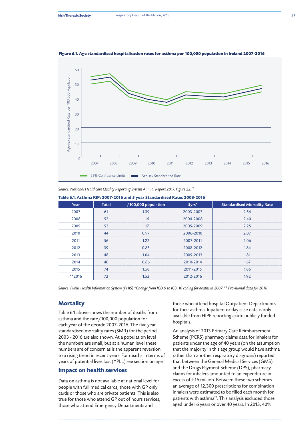

#### **Figure 6.1. Age standardised hospitalisation rates for asthma per 100,000 population in Ireland 2007-2016**

*Source: National Healthcare Quality Reporting System Annual Report 2017. Figure 22.11*

| Table 6.1. Asthma RIP: 2007-2016 and 5 year Standardised Rates 2003-2016 |  |
|--------------------------------------------------------------------------|--|
|--------------------------------------------------------------------------|--|

| Year     | <b>Total</b> | /100,000 population | $5yrs*$   | <b>Standardised Mortality Rate</b> |
|----------|--------------|---------------------|-----------|------------------------------------|
| 2007     | 61           | 1.39                | 2003-2007 | 2.54                               |
| 2008     | 52           | 1.16                | 2004-2008 | 2.40                               |
| 2009     | 53           | 1.17                | 2005-2009 | 2.25                               |
| 2010     | 44           | 0.97                | 2006-2010 | 2.07                               |
| 2011     | 56           | 1.22                | 2007-2011 | 2.06                               |
| 2012     | 39           | 0.85                | 2008-2012 | 1.84                               |
| 2013     | 48           | 1.04                | 2009-2013 | 1.81                               |
| 2014     | 40           | 0.86                | 2010-2014 | 1.67                               |
| 2015     | 74           | 1.58                | 2011-2015 | 1.86                               |
| $*$ 2016 | 72           | 1.52                | 2012-2016 | 1.92                               |

*Source: Public Health Information System (PHIS) \*Change from ICD 9 to ICD 10 coding for deaths in 2007 \*\* Provisional data for 2016* 

## **Mortality**

Table 6.1 above shows the number of deaths from asthma and the rate/100,000 population for each year of the decade 2007-2016. The five year standardised mortality rates (SMR) for the period 2003 - 2016 are also shown. At a population level the numbers are small, but at a human level these numbers are of concern as is the apparent reversion to a rising trend in recent years. For deaths in terms of years of potential lives lost (YPLL) see section on age.

# **Impact on health services**

Data on asthma is not available at national level for people with full medical cards, those with GP only cards or those who are private patients. This is also true for those who attend GP out of hours services, those who attend Emergency Departments and

those who attend hospital Outpatient Departments for their asthma. Inpatient or day case data is only available from HIPE reporting acute publicly funded hospitals.

An analysis of 2013 Primary Care Reimbursement Scheme (PCRS) pharmacy claims data for inhalers for patients under the age of 40 years (on the assumption that the majority in this age group would have asthma rather than another respiratory diagnosis) reported that between the General Medical Services (GMS) and the Drugs Payment Scheme (DPS), pharmacy claims for inhalers amounted to an expenditure in excess of  $E$ 16 million. Between these two schemes an average of 12,300 prescriptions for combination inhalers were estimated to be filled each month for patients with asthma*<sup>12</sup>*. This analysis excluded those aged under 6 years or over 40 years. In 2013, 40%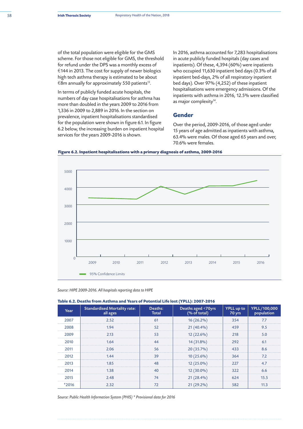of the total population were eligible for the GMS scheme. For those not eligible for GMS, the threshold for refund under the DPS was a monthly excess of €144 in 2013. The cost for supply of newer biologics high tech asthma therapy is estimated to be about  $€8$ m annually for approximately 550 patients<sup>13</sup>.

In terms of publicly funded acute hospitals, the numbers of day case hospitalisations for asthma has more than doubled in the years 2009 to 2016 from 1,336 in 2009 to 2,889 in 2016. In the section on prevalence, inpatient hospitalisations standardised for the population were shown in figure 6.1. In figure 6.2 below, the increasing burden on inpatient hospital services for the years 2009-2016 is shown.

In 2016, asthma accounted for 7,283 hospitalisations in acute publicly funded hospitals (day cases and inpatients). Of these, 4,394 (60%) were inpatients who occupied 11,630 inpatient bed days (0.3% of all inpatient bed-days, 2% of all respiratory inpatient bed days). Over 97% (4,252) of these inpatient hospitalisations were emergency admissions. Of the inpatients with asthma in 2016, 12.5% were classified as major complexity*<sup>14</sup>*.

#### **Gender**

Over the period, 2009-2016, of those aged under 15 years of age admitted as inpatients with asthma, 63.4% were males. Of those aged 65 years and over, 70.6% were females.





*Source: HIPE 2009-2016. All hospitals reporting data to HIPE*

**Table 6.2. Deaths from Asthma and Years of Potential Life lost (YPLL): 2007-2016**

| Year    | <b>Standardised Mortality rate:</b><br>all ages | Deaths:<br><b>Total</b> | Deaths aged <70yrs<br>(% of total) | YPLL up to<br>70 yrs | YPLL/100,000<br>population |
|---------|-------------------------------------------------|-------------------------|------------------------------------|----------------------|----------------------------|
| 2007    | 2.52                                            | 61                      | $16(26.2\%)$                       | 354                  | 7.7                        |
| 2008    | 1.94                                            | 52                      | $21(40.4\%)$                       | 459                  | 9.5                        |
| 2009    | 2.13                                            | 53                      | $12(22.6\%)$                       | 218                  | 5.0                        |
| 2010    | 1.64                                            | 44                      | 14 (31.8%)                         | 292                  | 6.1                        |
| 2011    | 2.06                                            | 56                      | 20 (35.7%)                         | 433                  | 8.6                        |
| 2012    | 1.44                                            | 39                      | $10(25.6\%)$                       | 364                  | 7.2                        |
| 2013    | 1.85                                            | 48                      | $12(25.0\%)$                       | 227                  | 4.7                        |
| 2014    | 1.38                                            | 40                      | $12(30.0\%)$                       | 322                  | 6.6                        |
| 2015    | 2.48                                            | 74                      | $21(28.4\%)$                       | 624                  | 15.5                       |
| $*2016$ | 2.32                                            | 72                      | $21(29.2\%)$                       | 582                  | 11.3                       |

*Source: Public Health Information System (PHIS) \* Provisional data for 2016*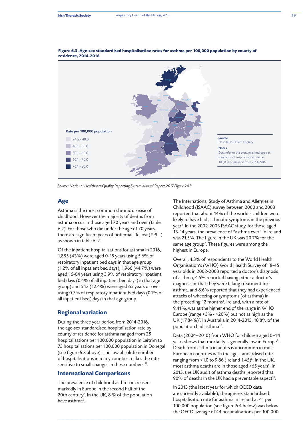

**Figure 6.3. Age-sex standardised hospitalisation rates for asthma per 100,000 population by county of residence, 2014-2016** 

*Source: National Healthcare Quality Reporting System Annual Report 2017.Figure 24.11*

## **Age**

Asthma is the most common chronic disease of childhood. However the majority of deaths from asthma occur in those aged 70 years and over (table 6.2). For those who die under the age of 70 years, there are significant years of potential life lost (YPLL) as shown in table 6. 2.

Of the inpatient hospitalisations for asthma in 2016, 1,885 (43%) were aged 0-15 years using 5.6% of respiratory inpatient bed days in that age group (1.2% of all inpatient bed days), 1,966 (44.7%) were aged 16-64 years using 3.9% of respiratory inpatient bed days (0.4% of all inpatient bed days) in that age group) and 543 (12.4%) were aged 65 years or over using 0.7% of respiratory inpatient bed days (0.1% of all inpatient bed) days in that age group.

## **Regional variation**

During the three year period from 2014-2016, the age-sex standardised hospitalisation rate by county of residence for asthma ranged from 25 hospitalisations per 100,000 population in Leitrim to 73 hospitalisations per 100,000 population in Donegal (see figure 6.3 above). The low absolute number of hospitalisations in many counties makes the rate sensitive to small changes in these numbers *<sup>11</sup>*.

### **International Comparisons**

The prevalence of childhood asthma increased markedly in Europe in the second half of the 20th century*<sup>7</sup>* . In the UK, 8 % of the population have asthma*<sup>5</sup>* .

The International Study of Asthma and Allergies in Childhood (ISAAC) survey between 2000 and 2003 reported that about 14% of the world's children were likely to have had asthmatic symptoms in the previous year<sup>1</sup>. In the 2002-2003 ISAAC study, for those aged 13-14 years, the prevalence of "asthma ever" in Ireland was 21.5%. The figure in the UK was 20.7% for the same age group*<sup>7</sup>* . These figures were among the highest in Europe.

Overall, 4.3% of respondents to the World Health Organisation's (WHO) World Health Survey of 18-45 year olds in 2002-2003 reported a doctor's diagnosis of asthma, 4.5% reported having either a doctor's diagnosis or that they were taking treatment for asthma, and 8.6% reported that they had experienced attacks of wheezing or symptoms (of asthma) in the preceding 12 months*<sup>1</sup>* . Ireland, with a rate of 9.41%, was at the higher end of the range in WHO Europe (range <3% - >20%) but not as high as the UK (17.84%)*<sup>6</sup>* . In Australia in 2014-2015, 10.8% of the population had asthma*<sup>15</sup>*.

Data (2004–2010) from WHO for children aged 0–14 years shows that mortality is generally low in Europe*<sup>7</sup>* . Death from asthma in adults is uncommon in most European countries with the age standardised rate ranging from <1.0 to 9.86 (Ireland 1.45)*<sup>6</sup>* . In the UK, most asthma deaths are in those aged >65 years*<sup>5</sup>* . In 2015, the UK audit of asthma deaths reported that 90% of deaths in the UK had a preventable aspect*<sup>16</sup>*.

In 2013 (the latest year for which OECD data are currently available), the age-sex standardised hospitalisation rate for asthma in Ireland at 41 per 100,000 population (see figure 6.4 below) was below the OECD average of 44 hospitalisations per 100,000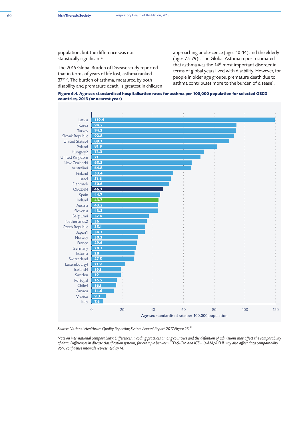population, but the difference was not statistically significant*<sup>11</sup>*.

The 2015 Global Burden of Disease study reported that in terms of years of life lost, asthma ranked 37<sup>th17</sup>. The burden of asthma, measured by both disability and premature death, is greatest in children approaching adolescence (ages 10-14) and the elderly (ages 75-79)*<sup>1</sup>* . The Global Asthma report estimated that asthma was the 14<sup>th</sup> most important disorder in terms of global years lived with disability. However, for people in older age groups, premature death due to asthma contributes more to the burden of disease*<sup>1</sup>* .





*Source: National Healthcare Quality Reporting System Annual Report 2017.Figure 23.11*

*Note on international comparability: Differences in coding practices among countries and the definition of admissions may affect the comparability of data. Differences in disease classification systems, for example between ICD-9-CM and ICD-10-AM/ACHI may also affect data comparability. 95% confidence intervals represented by I-I.*